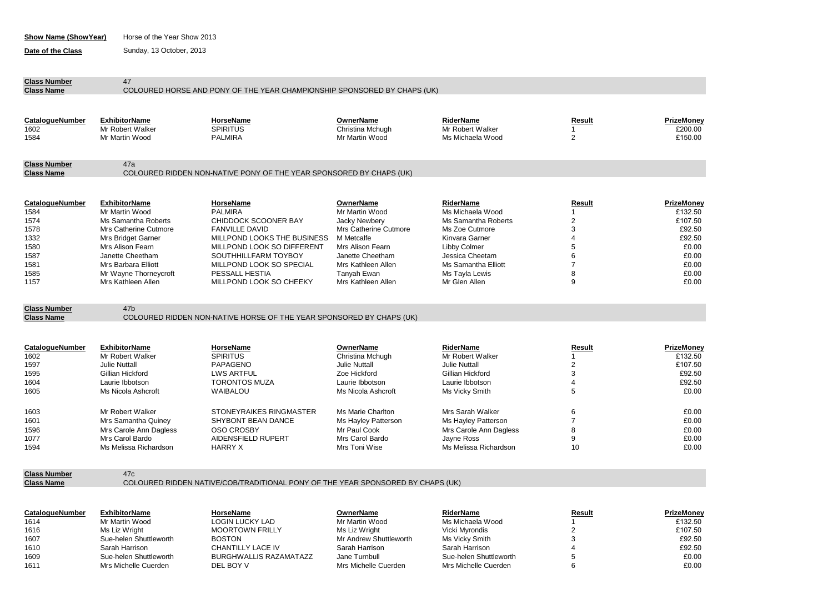| Show Name (Show Year) | Horse of the Year Show 2013 |
|-----------------------|-----------------------------|
|-----------------------|-----------------------------|

**Date of the Class** Sunday, 13 October, 2013

| <b>Class Number</b><br><b>Class Name</b>                                                       | 47                                                                                                                                                                                                                         | COLOURED HORSE AND PONY OF THE YEAR CHAMPIONSHIP SPONSORED BY CHAPS (UK)                                                                                                                                                                                 |                                                                                                                                                                                                      |                                                                                                                                                                                              |                                                                                   |                                                                                                   |
|------------------------------------------------------------------------------------------------|----------------------------------------------------------------------------------------------------------------------------------------------------------------------------------------------------------------------------|----------------------------------------------------------------------------------------------------------------------------------------------------------------------------------------------------------------------------------------------------------|------------------------------------------------------------------------------------------------------------------------------------------------------------------------------------------------------|----------------------------------------------------------------------------------------------------------------------------------------------------------------------------------------------|-----------------------------------------------------------------------------------|---------------------------------------------------------------------------------------------------|
|                                                                                                |                                                                                                                                                                                                                            |                                                                                                                                                                                                                                                          |                                                                                                                                                                                                      |                                                                                                                                                                                              |                                                                                   |                                                                                                   |
| <b>CatalogueNumber</b><br>1602                                                                 | <b>ExhibitorName</b><br>Mr Robert Walker                                                                                                                                                                                   | HorseName<br><b>SPIRITUS</b>                                                                                                                                                                                                                             | <b>OwnerName</b><br>Christina Mchugh                                                                                                                                                                 | <b>RiderName</b><br>Mr Robert Walker                                                                                                                                                         | Result<br>1                                                                       | PrizeMoney<br>£200.00                                                                             |
| 1584                                                                                           | Mr Martin Wood                                                                                                                                                                                                             | <b>PALMIRA</b>                                                                                                                                                                                                                                           | Mr Martin Wood                                                                                                                                                                                       | Ms Michaela Wood                                                                                                                                                                             | $\overline{2}$                                                                    | £150.00                                                                                           |
| <b>Class Number</b><br><b>Class Name</b>                                                       | 47a                                                                                                                                                                                                                        | COLOURED RIDDEN NON-NATIVE PONY OF THE YEAR SPONSORED BY CHAPS (UK)                                                                                                                                                                                      |                                                                                                                                                                                                      |                                                                                                                                                                                              |                                                                                   |                                                                                                   |
|                                                                                                |                                                                                                                                                                                                                            |                                                                                                                                                                                                                                                          |                                                                                                                                                                                                      |                                                                                                                                                                                              |                                                                                   |                                                                                                   |
| <b>CatalogueNumber</b><br>1584<br>1574<br>1578<br>1332<br>1580<br>1587<br>1581<br>1585<br>1157 | <b>ExhibitorName</b><br>Mr Martin Wood<br>Ms Samantha Roberts<br>Mrs Catherine Cutmore<br>Mrs Bridget Garner<br>Mrs Alison Fearn<br>Janette Cheetham<br>Mrs Barbara Elliott<br>Mr Wayne Thorneycroft<br>Mrs Kathleen Allen | <b>HorseName</b><br><b>PALMIRA</b><br><b>CHIDDOCK SCOONER BAY</b><br><b>FANVILLE DAVID</b><br>MILLPOND LOOKS THE BUSINESS<br>MILLPOND LOOK SO DIFFERENT<br>SOUTHHILLFARM TOYBOY<br>MILLPOND LOOK SO SPECIAL<br>PESSALL HESTIA<br>MILLPOND LOOK SO CHEEKY | <b>OwnerName</b><br>Mr Martin Wood<br><b>Jacky Newbery</b><br>Mrs Catherine Cutmore<br>M Metcalfe<br>Mrs Alison Fearn<br>Janette Cheetham<br>Mrs Kathleen Allen<br>Tanyah Ewan<br>Mrs Kathleen Allen | <b>RiderName</b><br>Ms Michaela Wood<br>Ms Samantha Roberts<br>Ms Zoe Cutmore<br>Kinvara Garner<br>Libby Colmer<br>Jessica Cheetam<br>Ms Samantha Elliott<br>Ms Tayla Lewis<br>Mr Glen Allen | Result<br>$\overline{\mathbf{c}}$<br>3<br>4<br>5<br>6<br>$\overline{7}$<br>8<br>9 | PrizeMoney<br>£132.50<br>£107.50<br>£92.50<br>£92.50<br>£0.00<br>£0.00<br>£0.00<br>£0.00<br>£0.00 |
| <b>Class Number</b><br><b>Class Name</b>                                                       | 47 <sub>b</sub>                                                                                                                                                                                                            | COLOURED RIDDEN NON-NATIVE HORSE OF THE YEAR SPONSORED BY CHAPS (UK)                                                                                                                                                                                     |                                                                                                                                                                                                      |                                                                                                                                                                                              |                                                                                   |                                                                                                   |
|                                                                                                |                                                                                                                                                                                                                            |                                                                                                                                                                                                                                                          |                                                                                                                                                                                                      |                                                                                                                                                                                              |                                                                                   |                                                                                                   |
| CatalogueNumber<br>1602<br>1597<br>1595<br>1604<br>1605                                        | <b>ExhibitorName</b><br>Mr Robert Walker<br><b>Julie Nuttall</b><br>Gillian Hickford<br>Laurie Ibbotson<br>Ms Nicola Ashcroft                                                                                              | <b>HorseName</b><br><b>SPIRITUS</b><br>PAPAGENO<br><b>LWS ARTFUL</b><br><b>TORONTOS MUZA</b><br><b>WAIBALOU</b>                                                                                                                                          | <b>OwnerName</b><br>Christina Mchugh<br><b>Julie Nuttall</b><br>Zoe Hickford<br>Laurie Ibbotson<br>Ms Nicola Ashcroft                                                                                | <b>RiderName</b><br>Mr Robert Walker<br>Julie Nuttall<br>Gillian Hickford<br>Laurie Ibbotson<br>Ms Vicky Smith                                                                               | Result<br>1<br>$\overline{2}$<br>3<br>4<br>5                                      | PrizeMoney<br>£132.50<br>£107.50<br>£92.50<br>£92.50<br>£0.00                                     |
| 1603<br>1601<br>1596<br>1077<br>1594                                                           | Mr Robert Walker<br>Mrs Samantha Quiney<br>Mrs Carole Ann Dagless<br>Mrs Carol Bardo<br>Ms Melissa Richardson                                                                                                              | STONEYRAIKES RINGMASTER<br>SHYBONT BEAN DANCE<br><b>OSO CROSBY</b><br>AIDENSFIELD RUPERT<br><b>HARRY X</b>                                                                                                                                               | Ms Marie Charlton<br>Ms Hayley Patterson<br>Mr Paul Cook<br>Mrs Carol Bardo<br>Mrs Toni Wise                                                                                                         | Mrs Sarah Walker<br>Ms Hayley Patterson<br>Mrs Carole Ann Dagless<br>Jayne Ross<br>Ms Melissa Richardson                                                                                     | 6<br>$\overline{7}$<br>8<br>9<br>10                                               | £0.00<br>£0.00<br>£0.00<br>£0.00<br>£0.00                                                         |

**Class Number** 47c<br> **Class Name** COL

COLOURED RIDDEN NATIVE/COB/TRADITIONAL PONY OF THE YEAR SPONSORED BY CHAPS (UK)

| CatalogueNumber | <b>ExhibitorName</b>   | HorseName                     | OwnerName              | RiderName              | Result | PrizeMonev |
|-----------------|------------------------|-------------------------------|------------------------|------------------------|--------|------------|
| 1614            | Mr Martin Wood         | <b>LOGIN LUCKY LAD</b>        | Mr Martin Wood         | Ms Michaela Wood       |        | £132.50    |
| 1616            | Ms Liz Wright          | <b>MOORTOWN FRILLY</b>        | Ms Liz Wright          | Vicki Myrondis         |        | £107.50    |
| 1607            | Sue-helen Shuttleworth | <b>BOSTON</b>                 | Mr Andrew Shuttleworth | Ms Vicky Smith         |        | £92.50     |
| 1610            | Sarah Harrison         | CHANTILLY LACE IV             | Sarah Harrison         | Sarah Harrison         |        | £92.50     |
| 1609            | Sue-helen Shuttleworth | <b>BURGHWALLIS RAZAMATAZZ</b> | Jane Turnbull          | Sue-helen Shuttleworth |        | £0.00      |
| 1611            | Mrs Michelle Cuerden   | DEL BOY V                     | Mrs Michelle Cuerden   | Mrs Michelle Cuerden   |        | £0.00      |